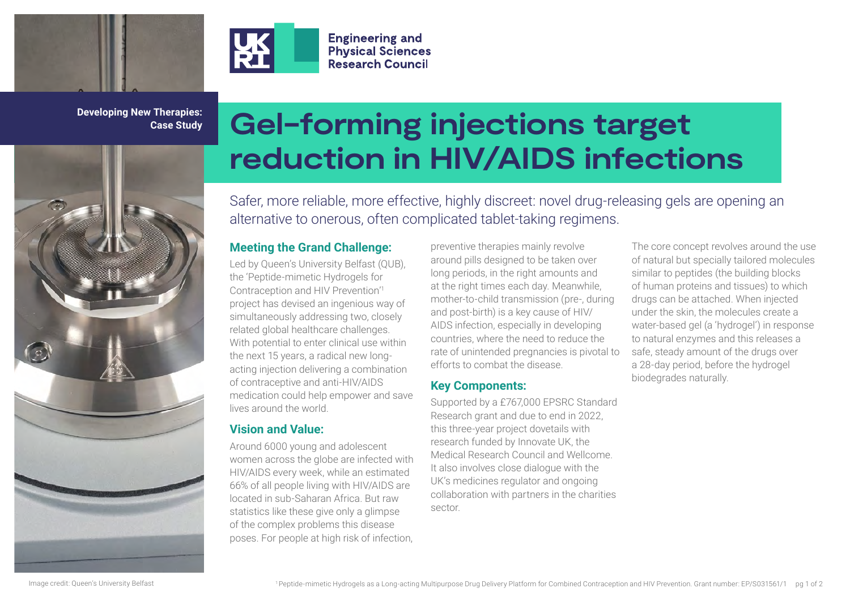



**Developing New Therapies: Case Study**



# **Gel-forming injections target reduction in HIV/AIDS infections**

Safer, more reliable, more effective, highly discreet: novel drug-releasing gels are opening an alternative to onerous, often complicated tablet-taking regimens.

## **Meeting the Grand Challenge:**

**Engineering and Physical Sciences Research Council** 

Led by Queen's University Belfast (QUB), the 'Peptide-mimetic Hydrogels for Contraception and HIV Prevention'1 project has devised an ingenious way of simultaneously addressing two, closely related global healthcare challenges. With potential to enter clinical use within the next 15 years, a radical new longacting injection delivering a combination of contraceptive and anti-HIV/AIDS medication could help empower and save lives around the world.

## **Vision and Value:**

Around 6000 young and adolescent women across the globe are infected with HIV/AIDS every week, while an estimated 66% of all people living with HIV/AIDS are located in sub-Saharan Africa. But raw statistics like these give only a glimpse of the complex problems this disease poses. For people at high risk of infection,

preventive therapies mainly revolve around pills designed to be taken over long periods, in the right amounts and at the right times each day. Meanwhile, mother-to-child transmission (pre-, during and post-birth) is a key cause of HIV/ AIDS infection, especially in developing countries, where the need to reduce the rate of unintended pregnancies is pivotal to efforts to combat the disease.

## **Key Components:**

Supported by a £767,000 EPSRC Standard Research grant and due to end in 2022, this three-year project dovetails with research funded by Innovate UK, the Medical Research Council and Wellcome. It also involves close dialogue with the UK's medicines regulator and ongoing collaboration with partners in the charities sector.

The core concept revolves around the use of natural but specially tailored molecules similar to peptides (the building blocks of human proteins and tissues) to which drugs can be attached. When injected under the skin, the molecules create a water-based gel (a 'hydrogel') in response to natural enzymes and this releases a safe, steady amount of the drugs over a 28-day period, before the hydrogel biodegrades naturally.